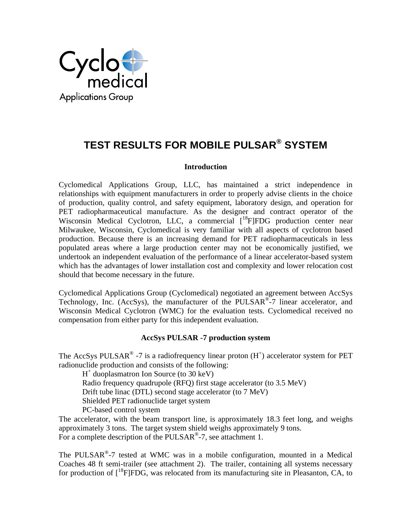

# **TEST RESULTS FOR MOBILE PULSAR® SYSTEM**

## **Introduction**

Cyclomedical Applications Group, LLC, has maintained a strict independence in relationships with equipment manufacturers in order to properly advise clients in the choice of production, quality control, and safety equipment, laboratory design, and operation for PET radiopharmaceutical manufacture. As the designer and contract operator of the Wisconsin Medical Cyclotron, LLC, a commercial  $\int_{0}^{18}$ F|FDG production center near Milwaukee, Wisconsin, Cyclomedical is very familiar with all aspects of cyclotron based production. Because there is an increasing demand for PET radiopharmaceuticals in less populated areas where a large production center may not be economically justified, we undertook an independent evaluation of the performance of a linear accelerator-based system which has the advantages of lower installation cost and complexity and lower relocation cost should that become necessary in the future.

Cyclomedical Applications Group (Cyclomedical) negotiated an agreement between AccSys Technology, Inc. (AccSys), the manufacturer of the PULSAR®-7 linear accelerator, and Wisconsin Medical Cyclotron (WMC) for the evaluation tests. Cyclomedical received no compensation from either party for this independent evaluation.

## **AccSys PULSAR -7 production system**

The AccSys PULSAR<sup>®</sup> -7 is a radiofrequency linear proton  $(H<sup>+</sup>)$  accelerator system for PET radionuclide production and consists of the following:

H+ duoplasmatron Ion Source (to 30 keV)

Radio frequency quadrupole (RFQ) first stage accelerator (to 3.5 MeV)

Drift tube linac (DTL) second stage accelerator (to 7 MeV)

Shielded PET radionuclide target system

PC-based control system

The accelerator, with the beam transport line, is approximately 18.3 feet long, and weighs approximately 3 tons. The target system shield weighs approximately 9 tons. For a complete description of the PULSAR<sup>®</sup>-7, see attachment 1.

The PULSAR®-7 tested at WMC was in a mobile configuration, mounted in a Medical Coaches 48 ft semi-trailer (see attachment 2). The trailer, containing all systems necessary for production of  $\int_0^{18}$ F|FDG, was relocated from its manufacturing site in Pleasanton, CA, to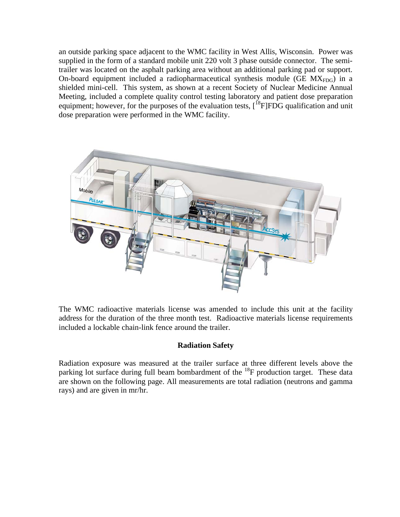an outside parking space adjacent to the WMC facility in West Allis, Wisconsin. Power was supplied in the form of a standard mobile unit 220 volt 3 phase outside connector. The semitrailer was located on the asphalt parking area without an additional parking pad or support. On-board equipment included a radiopharmaceutical synthesis module (GE  $MX_{FDG}$ ) in a shielded mini-cell. This system, as shown at a recent Society of Nuclear Medicine Annual Meeting, included a complete quality control testing laboratory and patient dose preparation equipment; however, for the purposes of the evaluation tests,  $[{}^{18}F]FDG$  qualification and unit dose preparation were performed in the WMC facility.



The WMC radioactive materials license was amended to include this unit at the facility address for the duration of the three month test. Radioactive materials license requirements included a lockable chain-link fence around the trailer.

## **Radiation Safety**

Radiation exposure was measured at the trailer surface at three different levels above the parking lot surface during full beam bombardment of the  $^{18}$ F production target. These data are shown on the following page. All measurements are total radiation (neutrons and gamma rays) and are given in mr/hr.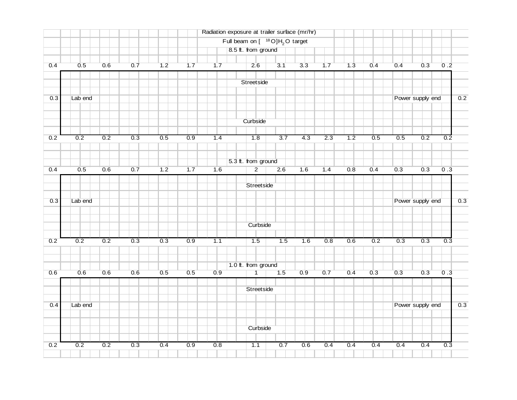|     |         |     |     |                  |     | Radiation exposure at trailer surface (mr/hr) |                                                 |                  |                  |                  |     |     |                  |                  |                  |     |
|-----|---------|-----|-----|------------------|-----|-----------------------------------------------|-------------------------------------------------|------------------|------------------|------------------|-----|-----|------------------|------------------|------------------|-----|
|     |         |     |     |                  |     |                                               | Full beam on $[$ <sup>18</sup> O] $H2$ O target |                  |                  |                  |     |     |                  |                  |                  |     |
|     |         |     |     |                  |     |                                               | 8.5 ft. from ground                             |                  |                  |                  |     |     |                  |                  |                  |     |
| 0.4 | 0.5     | 0.6 | 0.7 | 1.2              | 1.7 | 1.7                                           | 2.6                                             | 3.1              | 3.3              | 1.7              | 1.3 | 0.4 | 0.4              | 0.3              | 0.2              |     |
|     |         |     |     |                  |     |                                               |                                                 |                  |                  |                  |     |     |                  |                  |                  |     |
|     |         |     |     |                  |     |                                               | Streetside                                      |                  |                  |                  |     |     |                  |                  |                  |     |
| 0.3 | Lab end |     |     |                  |     |                                               |                                                 |                  |                  |                  |     |     | Power supply end |                  | 0.2              |     |
|     |         |     |     |                  |     |                                               |                                                 |                  |                  |                  |     |     |                  |                  |                  |     |
|     |         |     |     |                  |     |                                               | Curbside                                        |                  |                  |                  |     |     |                  |                  |                  |     |
|     |         |     |     |                  |     |                                               |                                                 |                  |                  |                  |     |     |                  |                  |                  |     |
| 0.2 | 0.2     | 0.2 | 0.3 | 0.5              | 0.9 | 1.4                                           | 1.8                                             | 3.7              | 4.3              | 2.3              | 1.2 | 0.5 | 0.5              | 0.2              | $\overline{0.2}$ |     |
|     |         |     |     |                  |     |                                               |                                                 |                  |                  |                  |     |     |                  |                  |                  |     |
|     |         |     |     |                  |     |                                               |                                                 |                  |                  |                  |     |     |                  |                  |                  |     |
|     |         |     |     |                  |     |                                               | 5.3 ft. from ground                             |                  |                  |                  |     |     |                  |                  |                  |     |
| 0.4 | 0.5     | 0.6 | 0.7 | 1.2              | 1.7 | 1.6                                           | $\overline{2}$                                  | 2.6              | 1.6              | 1.4              | 0.8 | 0.4 | 0.3              | 0.3              | 0.3              |     |
|     |         |     |     |                  |     |                                               | Streetside                                      |                  |                  |                  |     |     |                  |                  |                  |     |
|     |         |     |     |                  |     |                                               |                                                 |                  |                  |                  |     |     |                  |                  |                  |     |
| 0.3 | Lab end |     |     |                  |     |                                               |                                                 |                  |                  |                  |     |     | Power supply end |                  | 0.3              |     |
|     |         |     |     |                  |     |                                               |                                                 |                  |                  |                  |     |     |                  |                  |                  |     |
|     |         |     |     |                  |     |                                               | Curbside                                        |                  |                  |                  |     |     |                  |                  |                  |     |
|     |         |     |     |                  |     |                                               |                                                 |                  |                  |                  |     |     |                  |                  |                  |     |
| 0.2 | 0.2     | 0.2 | 0.3 | $\overline{0.3}$ | 0.9 | 7.1                                           | $\overline{1.5}$                                | $\overline{1.5}$ | $\overline{1.6}$ | $\overline{0.8}$ | 0.6 | 0.2 | $0.\overline{3}$ | 0.3              | $\overline{0.3}$ |     |
|     |         |     |     |                  |     |                                               |                                                 |                  |                  |                  |     |     |                  |                  |                  |     |
|     |         |     |     |                  |     |                                               | 1.0 ft. from ground                             |                  |                  |                  |     |     |                  |                  |                  |     |
| 0.6 | 0.6     | 0.6 | 0.6 | 0.5              | 0.5 | 0.9                                           | $\overline{1}$                                  | 1.5              | 0.9              | 0.7              | 0.4 | 0.3 | 0.3              | 0.3              | 0.3              |     |
|     |         |     |     |                  |     |                                               |                                                 |                  |                  |                  |     |     |                  |                  |                  |     |
|     |         |     |     |                  |     |                                               | Streetside                                      |                  |                  |                  |     |     |                  |                  |                  |     |
|     |         |     |     |                  |     |                                               |                                                 |                  |                  |                  |     |     |                  |                  |                  |     |
| 0.4 | Lab end |     |     |                  |     |                                               |                                                 |                  |                  |                  |     |     |                  | Power supply end |                  | 0.3 |
|     |         |     |     |                  |     |                                               |                                                 |                  |                  |                  |     |     |                  |                  |                  |     |
|     |         |     |     |                  |     |                                               | Curbside                                        |                  |                  |                  |     |     |                  |                  |                  |     |
|     |         |     |     |                  |     |                                               |                                                 |                  |                  |                  |     |     |                  |                  |                  |     |
|     |         |     |     |                  |     |                                               |                                                 |                  |                  |                  |     |     |                  |                  |                  |     |
| 0.2 | 0.2     | 0.2 | 0.3 | 0.4              | 0.9 | 0.8                                           | 1.1                                             | 0.7              | 0.6              | 0.4              | 0.4 | 0.4 | 0.4              | 0.4              | 0.3              |     |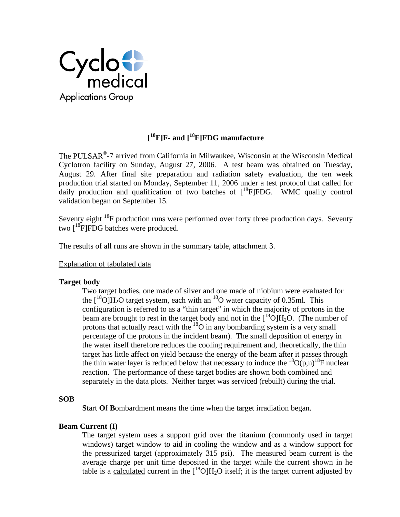

## **[ 18F]F- and [18F]FDG manufacture**

The PULSAR®-7 arrived from California in Milwaukee, Wisconsin at the Wisconsin Medical Cyclotron facility on Sunday, August 27, 2006. A test beam was obtained on Tuesday, August 29. After final site preparation and radiation safety evaluation, the ten week production trial started on Monday, September 11, 2006 under a test protocol that called for daily production and qualification of two batches of  $[{}^{18}$ F|FDG. WMC quality control validation began on September 15.

Seventy eight  $^{18}F$  production runs were performed over forty three production days. Seventy two  $\int_0^{18}$ F]FDG batches were produced.

The results of all runs are shown in the summary table, attachment 3.

## Explanation of tabulated data

## **Target body**

Two target bodies, one made of silver and one made of niobium were evaluated for the  $[18$ O]H<sub>2</sub>O target system, each with an <sup>18</sup>O water capacity of 0.35ml. This configuration is referred to as a "thin target" in which the majority of protons in the beam are brought to rest in the target body and not in the  $\binom{18}{12}$ O[H<sub>2</sub>O. (The number of protons that actually react with the  ${}^{18}O$  in any bombarding system is a very small percentage of the protons in the incident beam). The small deposition of energy in the water itself therefore reduces the cooling requirement and, theoretically, the thin target has little affect on yield because the energy of the beam after it passes through the thin water layer is reduced below that necessary to induce the  ${}^{18}O(p,n){}^{18}F$  nuclear reaction. The performance of these target bodies are shown both combined and separately in the data plots. Neither target was serviced (rebuilt) during the trial.

## **SOB**

**S**tart **O**f **B**ombardment means the time when the target irradiation began.

## **Beam Current (I)**

The target system uses a support grid over the titanium (commonly used in target windows) target window to aid in cooling the window and as a window support for the pressurized target (approximately 315 psi). The measured beam current is the average charge per unit time deposited in the target while the current shown in he table is a calculated current in the  $[{}^{18}O]H_2O$  itself; it is the target current adjusted by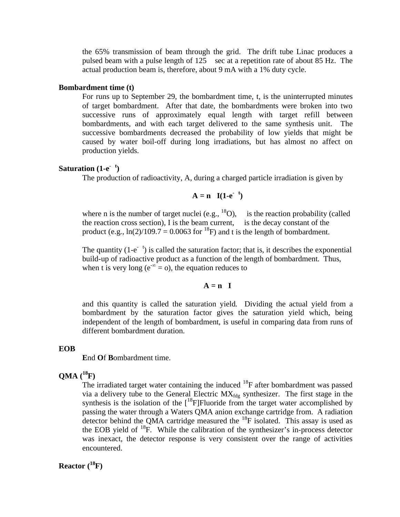the 65% transmission of beam through the grid. The drift tube Linac produces a pulsed beam with a pulse length of 125 sec at a repetition rate of about 85 Hz. The actual production beam is, therefore, about 9 mA with a 1% duty cycle.

#### **Bombardment time (t)**

For runs up to September 29, the bombardment time, t, is the uninterrupted minutes of target bombardment. After that date, the bombardments were broken into two successive runs of approximately equal length with target refill between bombardments, and with each target delivered to the same synthesis unit. The successive bombardments decreased the probability of low yields that might be caused by water boil-off during long irradiations, but has almost no affect on production yields.

#### **Saturation**  $(1-e^{-t})$

The production of radioactivity, A, during a charged particle irradiation is given by

$$
A = n \quad I(1-e^{-t})
$$

where n is the number of target nuclei (e.g.,  $^{18}$ O), is the reaction probability (called the reaction cross section), I is the beam current, is the decay constant of the product (e.g.,  $\ln(2)/109.7 = 0.0063$  for <sup>18</sup>F) and t is the length of bombardment.

The quantity  $(1-e^{-t})$  is called the saturation factor; that is, it describes the exponential build-up of radioactive product as a function of the length of bombardment. Thus, when t is very long ( $e^{-\infty} = 0$ ), the equation reduces to

$$
A = n \quad I
$$

and this quantity is called the saturation yield. Dividing the actual yield from a bombardment by the saturation factor gives the saturation yield which, being independent of the length of bombardment, is useful in comparing data from runs of different bombardment duration.

#### **EOB**

**E**nd **O**f **B**ombardment time.

#### **QMA (18F)**

The irradiated target water containing the induced  $^{18}$ F after bombardment was passed via a delivery tube to the General Electric  $MX_{\text{fdo}}$  synthesizer. The first stage in the synthesis is the isolation of the  $[{}^{18}F]$ Fluoride from the target water accomplished by passing the water through a Waters QMA anion exchange cartridge from. A radiation detector behind the QMA cartridge measured the  $^{18}$ F isolated. This assay is used as the EOB yield of  $^{18}F$ . While the calibration of the synthesizer's in-process detector was inexact, the detector response is very consistent over the range of activities encountered.

## **Reactor (18F)**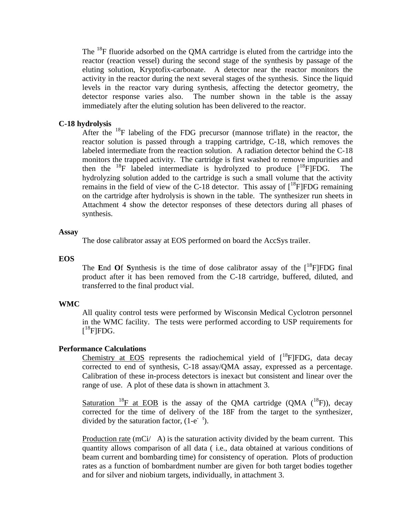The 18F fluoride adsorbed on the QMA cartridge is eluted from the cartridge into the reactor (reaction vessel) during the second stage of the synthesis by passage of the eluting solution, Kryptofix-carbonate. A detector near the reactor monitors the activity in the reactor during the next several stages of the synthesis. Since the liquid levels in the reactor vary during synthesis, affecting the detector geometry, the detector response varies also. The number shown in the table is the assay immediately after the eluting solution has been delivered to the reactor.

## **C-18 hydrolysis**

After the  $^{18}$ F labeling of the FDG precursor (mannose triflate) in the reactor, the reactor solution is passed through a trapping cartridge, C-18, which removes the labeled intermediate from the reaction solution. A radiation detector behind the C-18 monitors the trapped activity. The cartridge is first washed to remove impurities and then the  $^{18}F$  labeled intermediate is hydrolyzed to produce  $[^{18}F]FDG$ . The hydrolyzing solution added to the cartridge is such a small volume that the activity remains in the field of view of the C-18 detector. This assay of  $\int^{18}$ F|FDG remaining on the cartridge after hydrolysis is shown in the table. The synthesizer run sheets in Attachment 4 show the detector responses of these detectors during all phases of synthesis.

#### **Assay**

The dose calibrator assay at EOS performed on board the AccSys trailer.

#### **EOS**

The **E**nd Of Synthesis is the time of dose calibrator assay of the  $\int_0^{18}$ F]FDG final product after it has been removed from the C-18 cartridge, buffered, diluted, and transferred to the final product vial.

#### **WMC**

All quality control tests were performed by Wisconsin Medical Cyclotron personnel in the WMC facility. The tests were performed according to USP requirements for  $[$ <sup>18</sup>F]FDG.

#### **Performance Calculations**

Chemistry at EOS represents the radiochemical yield of  $[{}^{18}$ F]FDG, data decay corrected to end of synthesis, C-18 assay/QMA assay, expressed as a percentage. Calibration of these in-process detectors is inexact but consistent and linear over the range of use. A plot of these data is shown in attachment 3.

Saturation <sup>18</sup>F at EOB is the assay of the QMA cartridge (QMA  $(^{18}F)$ ), decay corrected for the time of delivery of the 18F from the target to the synthesizer, divided by the saturation factor,  $(1-e^{-t})$ .

Production rate  $(mCi / A)$  is the saturation activity divided by the beam current. This quantity allows comparison of all data ( i.e., data obtained at various conditions of beam current and bombarding time) for consistency of operation. Plots of production rates as a function of bombardment number are given for both target bodies together and for silver and niobium targets, individually, in attachment 3.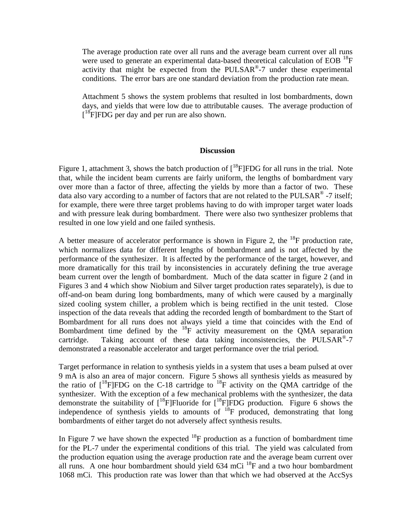The average production rate over all runs and the average beam current over all runs were used to generate an experimental data-based theoretical calculation of  $EOB$ <sup>18</sup>F activity that might be expected from the PULSAR<sup>®</sup>-7 under these experimental conditions. The error bars are one standard deviation from the production rate mean.

Attachment 5 shows the system problems that resulted in lost bombardments, down days, and yields that were low due to attributable causes. The average production of  $[$ <sup>18</sup>F]FDG per day and per run are also shown.

#### **Discussion**

Figure 1, attachment 3, shows the batch production of  $[^{18}F]FDG$  for all runs in the trial. Note that, while the incident beam currents are fairly uniform, the lengths of bombardment vary over more than a factor of three, affecting the yields by more than a factor of two. These data also vary according to a number of factors that are not related to the PULSAR<sup>®</sup> -7 itself; for example, there were three target problems having to do with improper target water loads and with pressure leak during bombardment. There were also two synthesizer problems that resulted in one low yield and one failed synthesis.

A better measure of accelerator performance is shown in Figure 2, the  $^{18}$ F production rate, which normalizes data for different lengths of bombardment and is not affected by the performance of the synthesizer. It is affected by the performance of the target, however, and more dramatically for this trail by inconsistencies in accurately defining the true average beam current over the length of bombardment. Much of the data scatter in figure 2 (and in Figures 3 and 4 which show Niobium and Silver target production rates separately), is due to off-and-on beam during long bombardments, many of which were caused by a marginally sized cooling system chiller, a problem which is being rectified in the unit tested. Close inspection of the data reveals that adding the recorded length of bombardment to the Start of Bombardment for all runs does not always yield a time that coincides with the End of Bombardment time defined by the  $^{18}F$  activity measurement on the QMA separation cartridge. Taking account of these data taking inconsistencies, the PULSAR®-7 demonstrated a reasonable accelerator and target performance over the trial period.

Target performance in relation to synthesis yields in a system that uses a beam pulsed at over 9 mA is also an area of major concern. Figure 5 shows all synthesis yields as measured by the ratio of  $[18$ F]FDG on the C-18 cartridge to  $18$ F activity on the OMA cartridge of the synthesizer. With the exception of a few mechanical problems with the synthesizer, the data demonstrate the suitability of  $[{}^{18}F]$ Fluoride for  $[{}^{18}F]$ FDG production. Figure 6 shows the independence of synthesis yields to amounts of 18F produced, demonstrating that long bombardments of either target do not adversely affect synthesis results.

In Figure 7 we have shown the expected  $^{18}F$  production as a function of bombardment time for the PL-7 under the experimental conditions of this trial. The yield was calculated from the production equation using the average production rate and the average beam current over all runs. A one hour bombardment should yield 634 mCi 18F and a two hour bombardment 1068 mCi. This production rate was lower than that which we had observed at the AccSys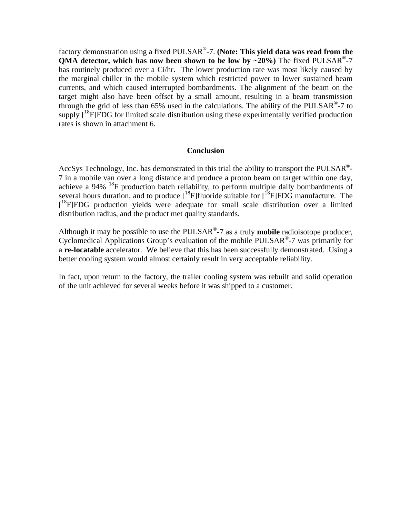factory demonstration using a fixed PULSAR®-7. **(Note: This yield data was read from the QMA detector, which has now been shown to be low by**  $\sim$ **20%)** The fixed PULSAR<sup>®</sup>-7 has routinely produced over a Ci/hr. The lower production rate was most likely caused by the marginal chiller in the mobile system which restricted power to lower sustained beam currents, and which caused interrupted bombardments. The alignment of the beam on the target might also have been offset by a small amount, resulting in a beam transmission through the grid of less than 65% used in the calculations. The ability of the PULSAR<sup>®</sup>-7 to supply  $\lceil^{18}F\lceil FDG$  for limited scale distribution using these experimentally verified production rates is shown in attachment 6.

#### **Conclusion**

AccSys Technology, Inc. has demonstrated in this trial the ability to transport the PULSAR<sup>®</sup>-7 in a mobile van over a long distance and produce a proton beam on target within one day, achieve a 94% 18F production batch reliability, to perform multiple daily bombardments of several hours duration, and to produce  $[{}^{18}F]$ fluoride suitable for  $[{}^{18}F]$ FDG manufacture. The [<sup>18</sup>F]FDG production yields were adequate for small scale distribution over a limited distribution radius, and the product met quality standards.

Although it may be possible to use the PULSAR®-7 as a truly **mobile** radioisotope producer, Cyclomedical Applications Group's evaluation of the mobile PULSAR<sup>®</sup>-7 was primarily for a **re-locatable** accelerator. We believe that this has been successfully demonstrated. Using a better cooling system would almost certainly result in very acceptable reliability.

In fact, upon return to the factory, the trailer cooling system was rebuilt and solid operation of the unit achieved for several weeks before it was shipped to a customer.